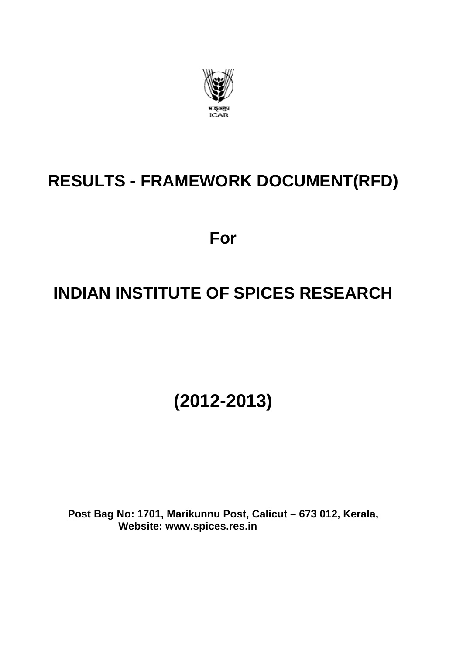

# **RESULTS - FRAMEWORK DOCUMENT(RFD)**

**For** 

# **INDIAN INSTITUTE OF SPICES RESEARCH**

**(2012-2013)** 

**Post Bag No: 1701, Marikunnu Post, Calicut – 673 012, Kerala, Website: www.spices.res.in**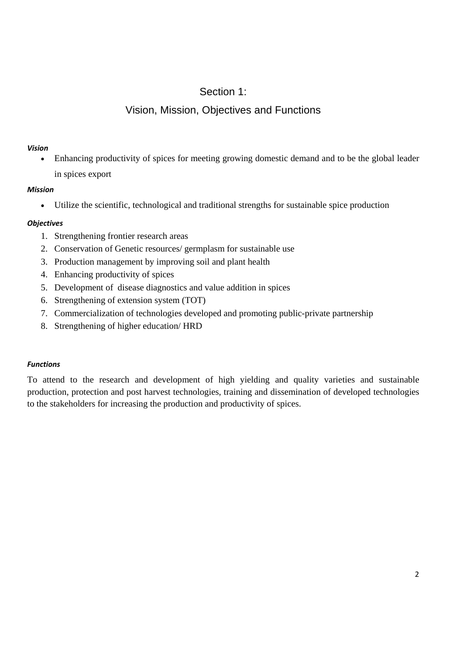## Section 1:

## Vision, Mission, Objectives and Functions

#### *Vision*

 Enhancing productivity of spices for meeting growing domestic demand and to be the global leader in spices export

#### *Mission*

Utilize the scientific, technological and traditional strengths for sustainable spice production

#### *Objectives*

- 1. Strengthening frontier research areas
- 2. Conservation of Genetic resources/ germplasm for sustainable use
- 3. Production management by improving soil and plant health
- 4. Enhancing productivity of spices
- 5. Development of disease diagnostics and value addition in spices
- 6. Strengthening of extension system (TOT)
- 7. Commercialization of technologies developed and promoting public-private partnership
- 8. Strengthening of higher education/ HRD

#### *Functions*

To attend to the research and development of high yielding and quality varieties and sustainable production, protection and post harvest technologies, training and dissemination of developed technologies to the stakeholders for increasing the production and productivity of spices.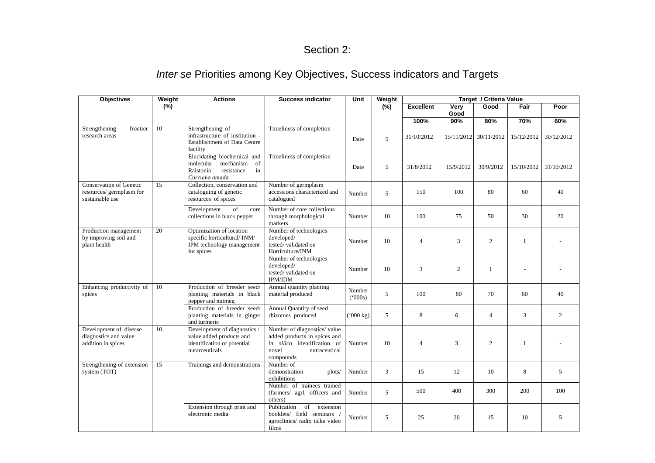#### Section 2:

# *Inter se* Priorities among Key Objectives, Success indicators and Targets

| <b>Objectives</b>                                                             | Weight | <b>Actions</b>                                                                                          | <b>Success indicator</b>                                                                                                          | Unit                   | Weight | Target / Criteria Value |              |                |              |                |
|-------------------------------------------------------------------------------|--------|---------------------------------------------------------------------------------------------------------|-----------------------------------------------------------------------------------------------------------------------------------|------------------------|--------|-------------------------|--------------|----------------|--------------|----------------|
|                                                                               | (%)    |                                                                                                         |                                                                                                                                   |                        | (%)    | <b>Excellent</b>        | Very<br>Good | Good           | Fair         | Poor           |
|                                                                               |        |                                                                                                         |                                                                                                                                   |                        |        | 100%                    | 90%          | 80%            | 70%          | 60%            |
| Strengthening<br>frontier<br>research areas                                   | 10     | Strengthening of<br>infrastructure of institution -<br><b>Establishment of Data Centre</b><br>facility  | Timeliness of completion                                                                                                          | Date                   | 5      | 31/10/2012              | 15/11/2012   | 30/11/2012     | 15/12/2012   | 30/12/2012     |
|                                                                               |        | Elucidating biochemical and<br>molecular mechanism of<br>resistance<br>Ralstonia<br>in<br>Curcuma amada | Timeliness of completion                                                                                                          | Date                   | 5      | 31/8/2012               | 15/9/2012    | 30/9/2012      | 15/10/2012   | 31/10/2012     |
| <b>Conservation of Genetic</b><br>resources/ germplasm for<br>sustainable use | 15     | Collection, conservation and<br>cataloguing of genetic<br>resources of spices                           | Number of germplasm<br>accessions characterized and<br>catalogued                                                                 | Number                 | 5      | 150                     | 100          | 80             | 60           | 40             |
|                                                                               |        | Development<br>of<br>core<br>collections in black pepper                                                | Number of core collections<br>through morphological<br>markers                                                                    | Number                 | 10     | 100                     | 75           | 50             | 30           | 20             |
| Production management<br>by improving soil and<br>plant health                | 20     | Optimization of location<br>specific horticultural/INM/<br>IPM technology management<br>for spices      | Number of technologies<br>developed/<br>tested/validated on<br>Horticulture/INM                                                   | Number                 | 10     | $\overline{4}$          | 3            | $\overline{c}$ | $\mathbf{1}$ |                |
|                                                                               |        |                                                                                                         | Number of technologies<br>developed/<br>tested/validated on<br>IPM/IDM                                                            | Number                 | 10     | 3                       | 2            | $\mathbf{1}$   |              |                |
| Enhancing productivity of<br>spices                                           | 10     | Production of breeder seed/<br>planting materials in black<br>pepper and nutmeg                         | Annual quantity planting<br>material produced                                                                                     | Number<br>(000s)       | 5      | 100                     | 80           | 70             | 60           | 40             |
|                                                                               |        | Production of breeder seed/<br>planting materials in ginger<br>and turmeric                             | Annual Quantity of seed<br>rhizomes produced                                                                                      | $(^{6}000 \text{ kg})$ | 5      | 8                       | 6            | $\overline{4}$ | 3            | $\overline{2}$ |
| Development of disease<br>diagnostics and value<br>addition in spices         | 10     | Development of diagnostics<br>value added products and<br>identification of potential<br>nutarceuticals | Number of diagnostics/value<br>added products in spices and<br>in silico identification of<br>novel<br>nutraceutical<br>compounds | Number                 | 10     | $\overline{4}$          | 3            | $\overline{c}$ | $\mathbf{1}$ |                |
| Strengthening of extension<br>system (TOT)                                    | 15     | Trainings and demonstrations                                                                            | Number of<br>demonstration<br>plots/<br>exhibitions                                                                               | Number                 | 3      | 15                      | 12           | 10             | 8            | 5              |
|                                                                               |        |                                                                                                         | Number of trainees trained<br>(farmers/ agrl. officers and<br>others)                                                             | Number                 | 5      | 500                     | 400          | 300            | 200          | 100            |
|                                                                               |        | Extension through print and<br>electronic media                                                         | $\overline{\text{of}}$<br>extension<br>Publication<br>booklets/ field seminars<br>agroclinics/radio talks video<br>films          | Number                 | 5      | 25                      | 20           | 15             | 10           | 5              |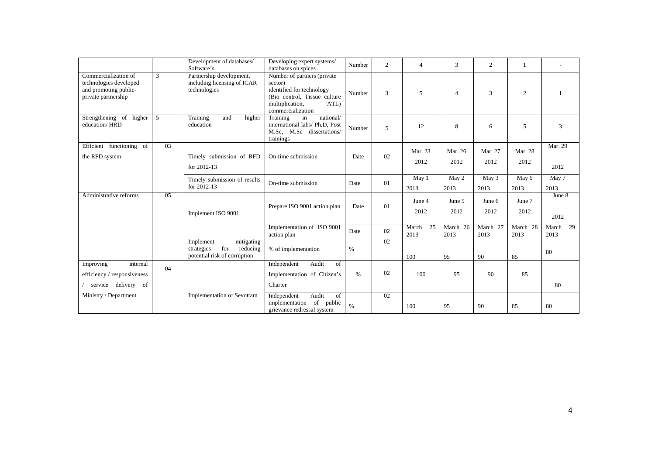|                                                                                                |    | Development of databases/<br>Software's                                                  | Developing expert systems/<br>databases on spices                                                                                                   | Number | $\overline{c}$ | $\overline{4}$      | 3                | $\overline{c}$   | -1               |                     |
|------------------------------------------------------------------------------------------------|----|------------------------------------------------------------------------------------------|-----------------------------------------------------------------------------------------------------------------------------------------------------|--------|----------------|---------------------|------------------|------------------|------------------|---------------------|
| Commercialization of<br>technologies developed<br>and promoting public-<br>private partnership | 3  | Partnership development,<br>including licensing of ICAR<br>technologies                  | Number of partners (private<br>sector)<br>identified for technology<br>(Bio control, Tissue culture<br>multiplication,<br>ATL)<br>commercialization | Number | 3              | 5                   | $\overline{4}$   | 3                | $\overline{2}$   |                     |
| Strengthening of higher<br>education/HRD                                                       | 5  | Training<br>higher<br>and<br>education                                                   | national/<br>Training<br>in<br>international labs/ Ph.D, Post<br>M.Sc. M.Sc dissertations/<br>trainings                                             | Number | 5              | 12                  | 8                | 6                | 5                | 3                   |
| Efficient functioning of<br>the RFD system                                                     | 03 | Timely submission of RFD<br>for 2012-13                                                  | On-time submission                                                                                                                                  | Date   | 02             | Mar. 23<br>2012     | Mar. 26<br>2012  | Mar. 27<br>2012  | Mar. 28<br>2012  | Mar. 29<br>2012     |
|                                                                                                |    | Timely submission of results<br>for 2012-13                                              | On-time submission                                                                                                                                  | Date   | 01             | May 1<br>2013       | May 2<br>2013    | May 3<br>2013    | May 6<br>2013    | May 7<br>2013       |
| Administrative reforms                                                                         | 05 | Implement ISO 9001                                                                       | Prepare ISO 9001 action plan                                                                                                                        | Date   | 01             | June 4<br>2012      | June 5<br>2012   | June 6<br>2012   | June 7<br>2012   | June 8<br>2012      |
|                                                                                                |    |                                                                                          | Implementation of ISO 9001<br>action plan                                                                                                           | Date   | 02             | 25<br>March<br>2013 | March 26<br>2013 | March 27<br>2013 | March 28<br>2013 | 29<br>March<br>2013 |
|                                                                                                |    | Implement<br>mitigating<br>for<br>reducing<br>strategies<br>potential risk of corruption | % of implementation                                                                                                                                 | $\%$   | 02             | 100                 | 95               | 90               | 85               | 80                  |
| Improving<br>internal<br>efficiency / responsiveness<br>service delivery of                    | 04 |                                                                                          | Audit<br>Independent<br>of<br>Implementation of Citizen's<br>Charter                                                                                | %      | 02             | 100                 | 95               | 90               | 85               | 80                  |
| Ministry / Department                                                                          |    | <b>Implementation of Sevottam</b>                                                        | Audit<br>Independent<br>of<br>implementation of public<br>grievance redressal system                                                                | $\%$   | 02             | 100                 | 95               | 90               | 85               | 80                  |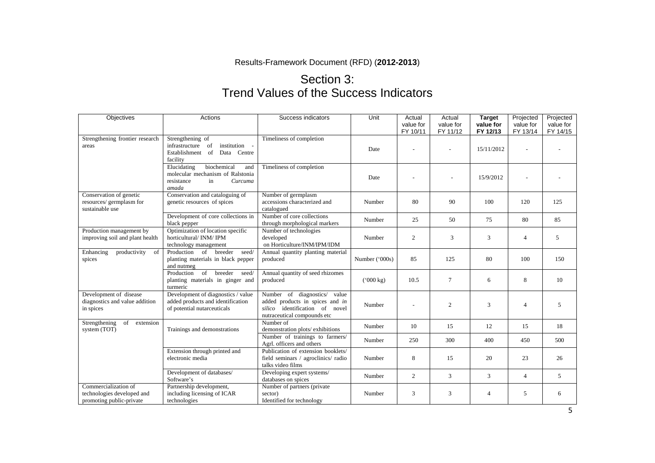Results-Framework Document (RFD) (**2012-2013**)

# Section 3: Trend Values of the Success Indicators

| Objectives                                                                     | Actions                                                                                                       | Success indicators                                                                                                               | Unit               | Actual<br>value for<br>FY 10/11 | Actual<br>value for<br>FY 11/12 | <b>Target</b><br>value for<br>FY 12/13 | Projected<br>Projected<br>value for<br>FY 13/14<br>FY 14/15 |     |
|--------------------------------------------------------------------------------|---------------------------------------------------------------------------------------------------------------|----------------------------------------------------------------------------------------------------------------------------------|--------------------|---------------------------------|---------------------------------|----------------------------------------|-------------------------------------------------------------|-----|
| Strengthening frontier research<br>areas                                       | Strengthening of<br>institution -<br>infrastructure<br>of<br>Establishment<br>of<br>Data Centre<br>facility   | Timeliness of completion                                                                                                         | Date               |                                 |                                 | 15/11/2012                             |                                                             |     |
|                                                                                | biochemical<br>Elucidating<br>and<br>molecular mechanism of Ralstonia<br>resistance<br>Curcuma<br>in<br>amada | Timeliness of completion                                                                                                         | Date               |                                 |                                 | 15/9/2012                              |                                                             |     |
| Conservation of genetic<br>resources/ germplasm for<br>sustainable use         | Conservation and cataloguing of<br>genetic resources of spices                                                | Number of germplasm<br>accessions characterized and<br>catalogued                                                                | Number             | 80                              | 90                              | 100                                    | 120                                                         | 125 |
|                                                                                | Development of core collections in<br>black pepper                                                            | Number of core collections<br>through morphological markers                                                                      | Number             | 25                              | 50                              | 75                                     | 80                                                          | 85  |
| Production management by<br>improving soil and plant health                    | Optimization of location specific<br>horticultural/INM/IPM<br>technology management                           | Number of technologies<br>developed<br>on Horticulture/INM/IPM/IDM                                                               | Number             | 2                               | 3                               | 3                                      | 4                                                           | 5   |
| Enhancing<br>productivity<br>of<br>spices                                      | Production of breeder<br>seed/<br>planting materials in black pepper<br>and nutmeg                            | Annual quantity planting material<br>produced                                                                                    | Number ('000s)     | 85                              | 125                             | 80                                     | 100                                                         | 150 |
|                                                                                | of<br>breeder<br>Production<br>seed/<br>planting materials in ginger and<br>turmeric                          | Annual quantity of seed rhizomes<br>produced                                                                                     | $(500 \text{ kg})$ | 10.5                            | $\overline{7}$                  | 6                                      | 8                                                           | 10  |
| Development of disease<br>diagnostics and value addition<br>in spices          | Development of diagnostics / value<br>added products and identification<br>of potential nutarceuticals        | Number of diagnostics/ value<br>added products in spices and in<br>silico identification of novel<br>nutraceutical compounds etc | Number             |                                 | $\overline{2}$                  | 3                                      | $\overline{4}$                                              | 5   |
| Strengthening<br>of<br>extension<br>system (TOT)                               | Trainings and demonstrations                                                                                  | Number of<br>demonstration plots/exhibitions                                                                                     | Number             | 10                              | 15                              | 12                                     | 15                                                          | 18  |
|                                                                                |                                                                                                               | Number of trainings to farmers/<br>Agrl. officers and others                                                                     | Number             | 250                             | 300                             | 400                                    | 450                                                         | 500 |
|                                                                                | Extension through printed and<br>electronic media                                                             | Publication of extension booklets/<br>field seminars / agroclinics/ radio<br>talks video films                                   | Number             | 8                               | 15                              | 20                                     | 23                                                          | 26  |
|                                                                                | Development of databases/<br>Software's                                                                       | Developing expert systems/<br>databases on spices                                                                                | Number             | 2                               | 3                               | 3                                      | $\overline{4}$                                              | 5   |
| Commercialization of<br>technologies developed and<br>promoting public-private | Partnership development,<br>including licensing of ICAR<br>technologies                                       | Number of partners (private<br>sector)<br>Identified for technology                                                              | Number             | 3                               | 3                               | $\overline{4}$                         | 5                                                           | 6   |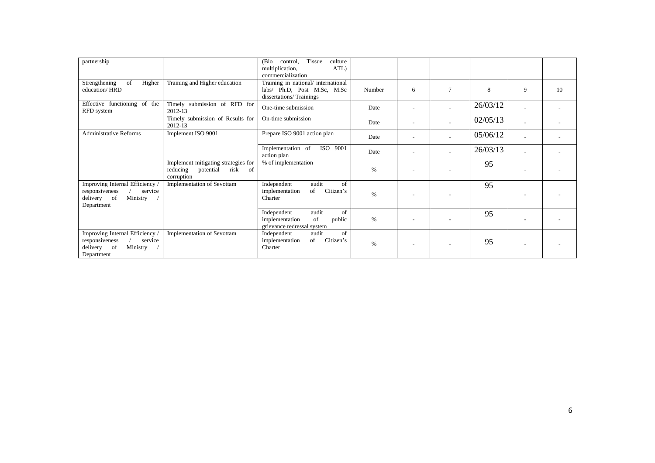| partnership                                                                                            |                                                                                                     | Tissue<br>culture<br>(Bio)<br>control,<br>ATL)<br>multiplication,<br>commercialization        |        |                          |  |          |   |    |
|--------------------------------------------------------------------------------------------------------|-----------------------------------------------------------------------------------------------------|-----------------------------------------------------------------------------------------------|--------|--------------------------|--|----------|---|----|
| Strengthening<br>of<br>Higher<br>education/HRD                                                         | Training and Higher education                                                                       | Training in national/ international<br>labs/ Ph.D, Post M.Sc, M.Sc<br>dissertations/Trainings | Number | 6                        |  | 8        | 9 | 10 |
| Effective functioning of the<br>RFD system                                                             | Timely submission of RFD for<br>2012-13                                                             | One-time submission                                                                           | Date   | $\overline{\phantom{a}}$ |  | 26/03/12 |   |    |
|                                                                                                        | Timely submission of Results for<br>2012-13                                                         | On-time submission                                                                            | Date   | $\overline{\phantom{a}}$ |  | 02/05/13 |   |    |
| <b>Administrative Reforms</b>                                                                          | Implement ISO 9001                                                                                  | Prepare ISO 9001 action plan                                                                  | Date   | $\overline{\phantom{a}}$ |  | 05/06/12 |   |    |
|                                                                                                        |                                                                                                     | Implementation of<br>ISO 9001<br>action plan                                                  | Date   | $\overline{\phantom{a}}$ |  | 26/03/13 |   |    |
|                                                                                                        | Implement mitigating strategies for<br>reducing<br>potential<br>risk<br><sub>of</sub><br>corruption | % of implementation                                                                           | $\%$   |                          |  | 95       |   |    |
| Improving Internal Efficiency /<br>responsiveness<br>service<br>Ministry<br>delivery of<br>Department  | <b>Implementation of Sevottam</b>                                                                   | audit<br>of<br>Independent<br>Citizen's<br>of<br>implementation<br>Charter                    | %      |                          |  | 95       |   |    |
|                                                                                                        |                                                                                                     | audit<br>of<br>Independent<br>implementation<br>of<br>public<br>grievance redressal system    | %      |                          |  | 95       |   |    |
| Improving Internal Efficiency<br>responsiveness<br>service<br>Ministry<br>delivery<br>of<br>Department | <b>Implementation of Sevottam</b>                                                                   | audit<br>of<br>Independent<br>Citizen's<br>of<br>implementation<br>Charter                    | %      |                          |  | 95       |   |    |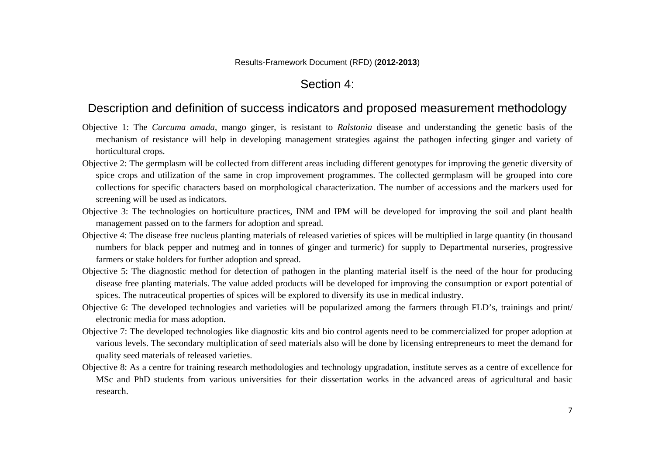### Section 4:

### Description and definition of success indicators and proposed measurement methodology

- Objective 1: The *Curcuma amada*, mango ginger, is resistant to *Ralstonia* disease and understanding the genetic basis of the mechanism of resistance will help in developing management strategies against the pathogen infecting ginger and variety of horticultural crops.
- Objective 2: The germplasm will be collected from different areas including different genotypes for improving the genetic diversity of spice crops and utilization of the same in crop improvement programmes. The collected germplasm will be grouped into core collections for specific characters based on morphological characterization. The number of accessions and the markers used for screening will be used as indicators.
- Objective 3: The technologies on horticulture practices, INM and IPM will be developed for improving the soil and plant health management passed on to the farmers for adoption and spread.
- Objective 4: The disease free nucleus planting materials of released varieties of spices will be multiplied in large quantity (in thousand numbers for black pepper and nutmeg and in tonnes of ginger and turmeric) for supply to Departmental nurseries, progressive farmers or stake holders for further adoption and spread.
- Objective 5: The diagnostic method for detection of pathogen in the planting material itself is the need of the hour for producing disease free planting materials. The value added products will be developed for improving the consumption or export potential of spices. The nutraceutical properties of spices will be explored to diversify its use in medical industry.
- Objective 6: The developed technologies and varieties will be popularized among the farmers through FLD's, trainings and print/ electronic media for mass adoption.
- Objective 7: The developed technologies like diagnostic kits and bio control agents need to be commercialized for proper adoption at various levels. The secondary multiplication of seed materials also will be done by licensing entrepreneurs to meet the demand for quality seed materials of released varieties.
- Objective 8: As a centre for training research methodologies and technology upgradation, institute serves as a centre of excellence for MSc and PhD students from various universities for their dissertation works in the advanced areas of agricultural and basic research.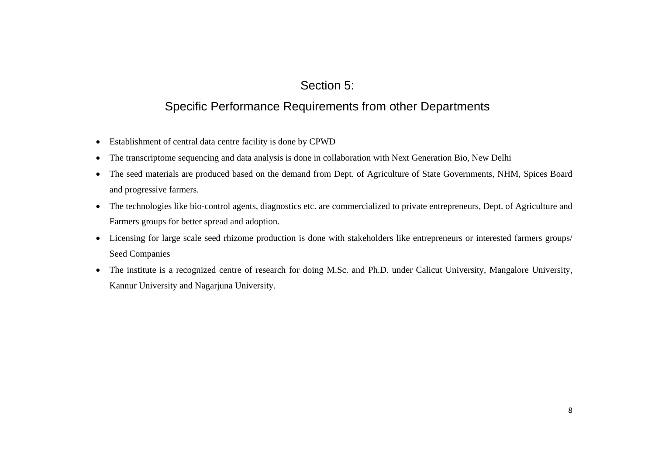# Section 5:

# Specific Performance Requirements from other Departments

- Establishment of central data centre facility is done by CPWD
- The transcriptome sequencing and data analysis is done in collaboration with Next Generation Bio, New Delhi
- The seed materials are produced based on the demand from Dept. of Agriculture of State Governments, NHM, Spices Board and progressive farmers.
- The technologies like bio-control agents, diagnostics etc. are commercialized to private entrepreneurs, Dept. of Agriculture and Farmers groups for better spread and adoption.
- Licensing for large scale seed rhizome production is done with stakeholders like entrepreneurs or interested farmers groups/ Seed Companies
- The institute is a recognized centre of research for doing M.Sc. and Ph.D. under Calicut University, Mangalore University, Kannur University and Nagarjuna University.